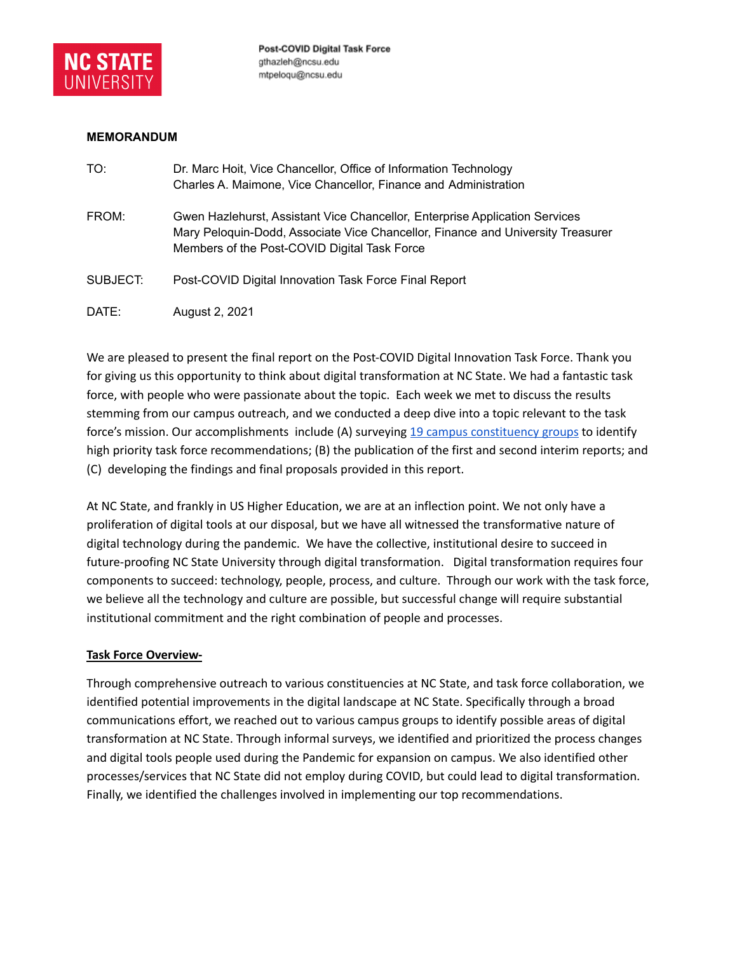

### **MEMORANDUM**

| TO:      | Dr. Marc Hoit, Vice Chancellor, Office of Information Technology<br>Charles A. Maimone, Vice Chancellor, Finance and Administration                                                                            |
|----------|----------------------------------------------------------------------------------------------------------------------------------------------------------------------------------------------------------------|
| FROM:    | Gwen Hazlehurst, Assistant Vice Chancellor, Enterprise Application Services<br>Mary Peloquin-Dodd, Associate Vice Chancellor, Finance and University Treasurer<br>Members of the Post-COVID Digital Task Force |
| SUBJECT: | Post-COVID Digital Innovation Task Force Final Report                                                                                                                                                          |
| DATE:    | August 2, 2021                                                                                                                                                                                                 |

We are pleased to present the final report on the Post-COVID Digital Innovation Task Force. Thank you for giving us this opportunity to think about digital transformation at NC State. We had a fantastic task force, with people who were passionate about the topic. Each week we met to discuss the results stemming from our campus outreach, and we conducted a deep dive into a topic relevant to the task force's mission. Our accomplishments include (A) surveying 19 campus [constituency](#page-11-0) groups to identify high priority task force recommendations; (B) the publication of the first and second interim reports; and (C) developing the findings and final proposals provided in this report.

At NC State, and frankly in US Higher Education, we are at an inflection point. We not only have a proliferation of digital tools at our disposal, but we have all witnessed the transformative nature of digital technology during the pandemic. We have the collective, institutional desire to succeed in future-proofing NC State University through digital transformation. Digital transformation requires four components to succeed: technology, people, process, and culture. Through our work with the task force, we believe all the technology and culture are possible, but successful change will require substantial institutional commitment and the right combination of people and processes.

## **Task Force Overview-**

Through comprehensive outreach to various constituencies at NC State, and task force collaboration, we identified potential improvements in the digital landscape at NC State. Specifically through a broad communications effort, we reached out to various campus groups to identify possible areas of digital transformation at NC State. Through informal surveys, we identified and prioritized the process changes and digital tools people used during the Pandemic for expansion on campus. We also identified other processes/services that NC State did not employ during COVID, but could lead to digital transformation. Finally, we identified the challenges involved in implementing our top recommendations.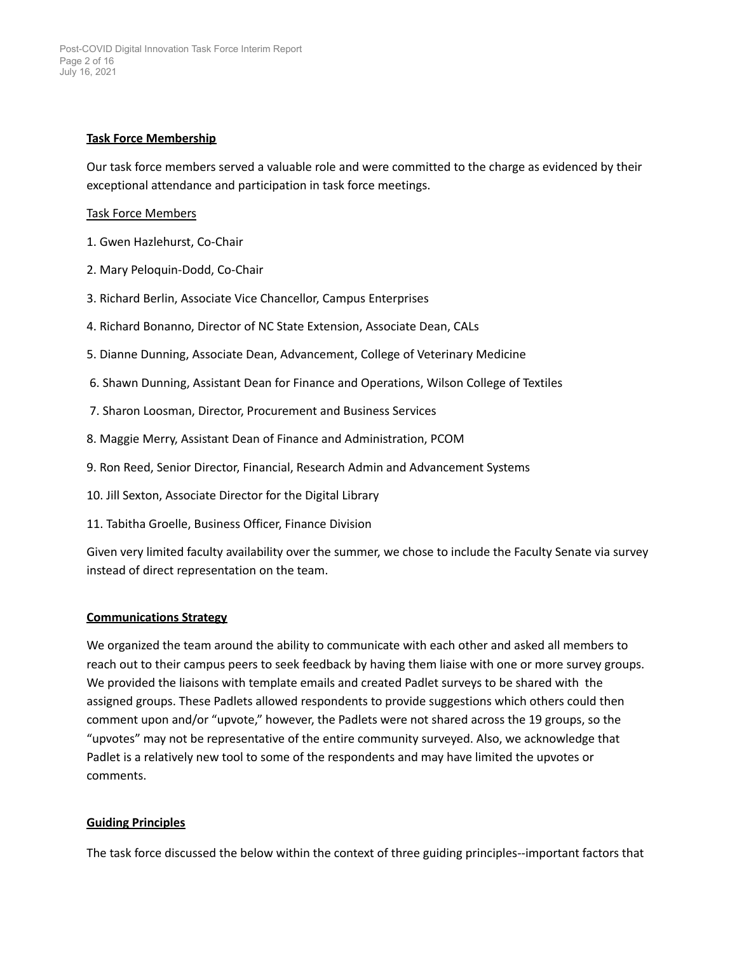## **Task Force Membership**

Our task force members served a valuable role and were committed to the charge as evidenced by their exceptional attendance and participation in task force meetings.

#### Task Force Members

- 1. Gwen Hazlehurst, Co-Chair
- 2. Mary Peloquin-Dodd, Co-Chair
- 3. Richard Berlin, Associate Vice Chancellor, Campus Enterprises
- 4. Richard Bonanno, Director of NC State Extension, Associate Dean, CALs
- 5. Dianne Dunning, Associate Dean, Advancement, College of Veterinary Medicine
- 6. Shawn Dunning, Assistant Dean for Finance and Operations, Wilson College of Textiles
- 7. Sharon Loosman, Director, Procurement and Business Services
- 8. Maggie Merry, Assistant Dean of Finance and Administration, PCOM
- 9. Ron Reed, Senior Director, Financial, Research Admin and Advancement Systems
- 10. Jill Sexton, Associate Director for the Digital Library
- 11. Tabitha Groelle, Business Officer, Finance Division

Given very limited faculty availability over the summer, we chose to include the Faculty Senate via survey instead of direct representation on the team.

#### **Communications Strategy**

We organized the team around the ability to communicate with each other and asked all members to reach out to their campus peers to seek feedback by having them liaise with one or more survey groups. We provided the liaisons with template emails and created Padlet surveys to be shared with the assigned groups. These Padlets allowed respondents to provide suggestions which others could then comment upon and/or "upvote," however, the Padlets were not shared across the 19 groups, so the "upvotes" may not be representative of the entire community surveyed. Also, we acknowledge that Padlet is a relatively new tool to some of the respondents and may have limited the upvotes or comments.

#### **Guiding Principles**

The task force discussed the below within the context of three guiding principles--important factors that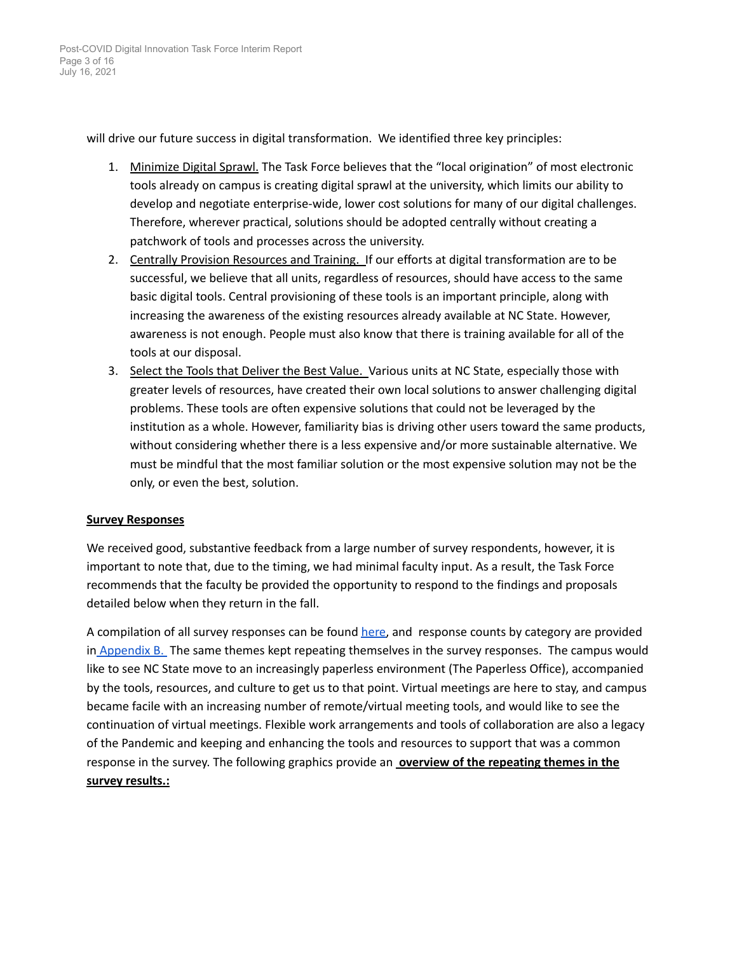will drive our future success in digital transformation. We identified three key principles:

- 1. Minimize Digital Sprawl. The Task Force believes that the "local origination" of most electronic tools already on campus is creating digital sprawl at the university, which limits our ability to develop and negotiate enterprise-wide, lower cost solutions for many of our digital challenges. Therefore, wherever practical, solutions should be adopted centrally without creating a patchwork of tools and processes across the university.
- 2. Centrally Provision Resources and Training. If our efforts at digital transformation are to be successful, we believe that all units, regardless of resources, should have access to the same basic digital tools. Central provisioning of these tools is an important principle, along with increasing the awareness of the existing resources already available at NC State. However, awareness is not enough. People must also know that there is training available for all of the tools at our disposal.
- 3. Select the Tools that Deliver the Best Value. Various units at NC State, especially those with greater levels of resources, have created their own local solutions to answer challenging digital problems. These tools are often expensive solutions that could not be leveraged by the institution as a whole. However, familiarity bias is driving other users toward the same products, without considering whether there is a less expensive and/or more sustainable alternative. We must be mindful that the most familiar solution or the most expensive solution may not be the only, or even the best, solution.

## **Survey Responses**

We received good, substantive feedback from a large number of survey respondents, however, it is important to note that, due to the timing, we had minimal faculty input. As a result, the Task Force recommends that the faculty be provided the opportunity to respond to the findings and proposals detailed below when they return in the fall.

A compilation of all survey responses can be found [here,](https://docs.google.com/spreadsheets/d/1vLclYRCxqfcsQFUCIVw-YVZcX-pcJSRRBJt6kwU_8AQ/edit#gid=284364572) and response counts by category are provided in Appendix B. The same themes kept repeating [themselves](#page-12-0) in the survey responses. The campus would like to see NC State move to an increasingly paperless environment (The Paperless Office), [accompanied](#page-12-0) by the tools, [resources,](#page-12-0) and culture to get us to that point. Virtual meetings are here to stay, and campus became facile with an increasing number of [remote/virtual](#page-12-0) meeting tools, and would like to see the continuation of virtual meetings. Flexible work [arrangements](#page-12-0) and tools of collaboration are also a legacy of the Pandemic and keeping and [enhancing](#page-12-0) the tools and resources to support that was a common response in the survey. The [following](#page-12-0) graphics provide an **overview of the repeating themes in the survey results.:**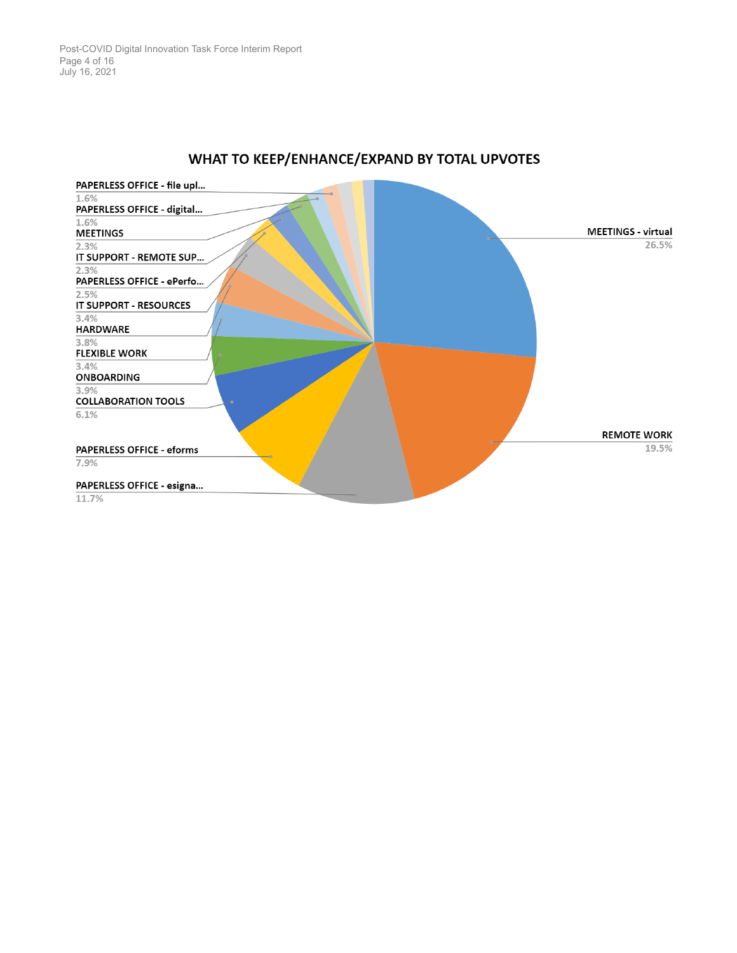

## WHAT TO KEEP/ENHANCE/EXPAND BY TOTAL UPVOTES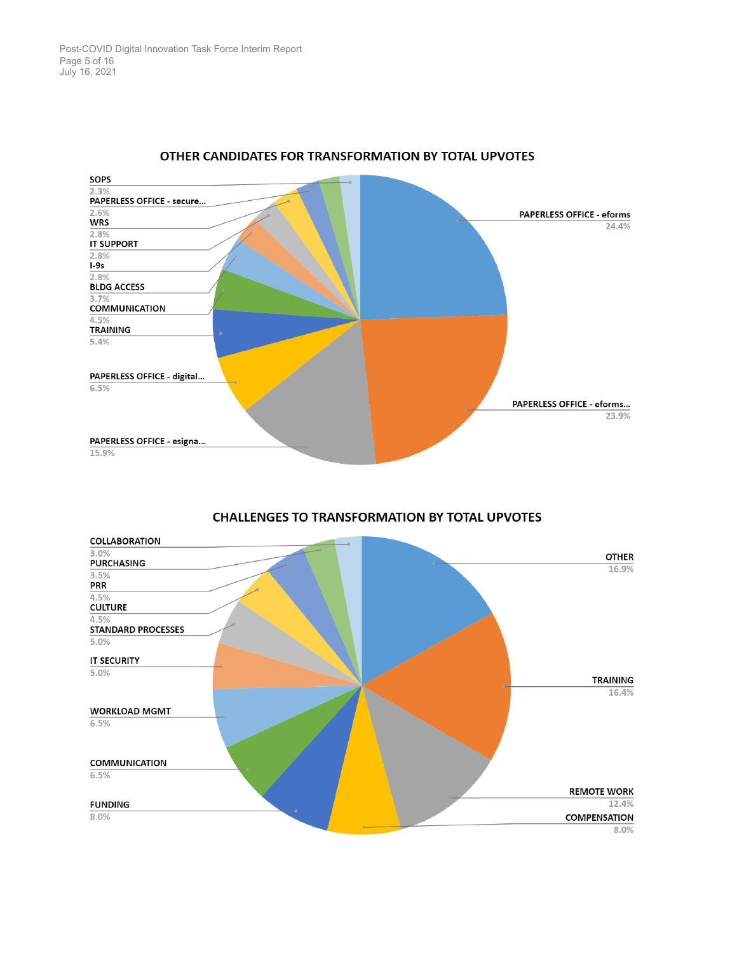

## OTHER CANDIDATES FOR TRANSFORMATION BY TOTAL UPVOTES



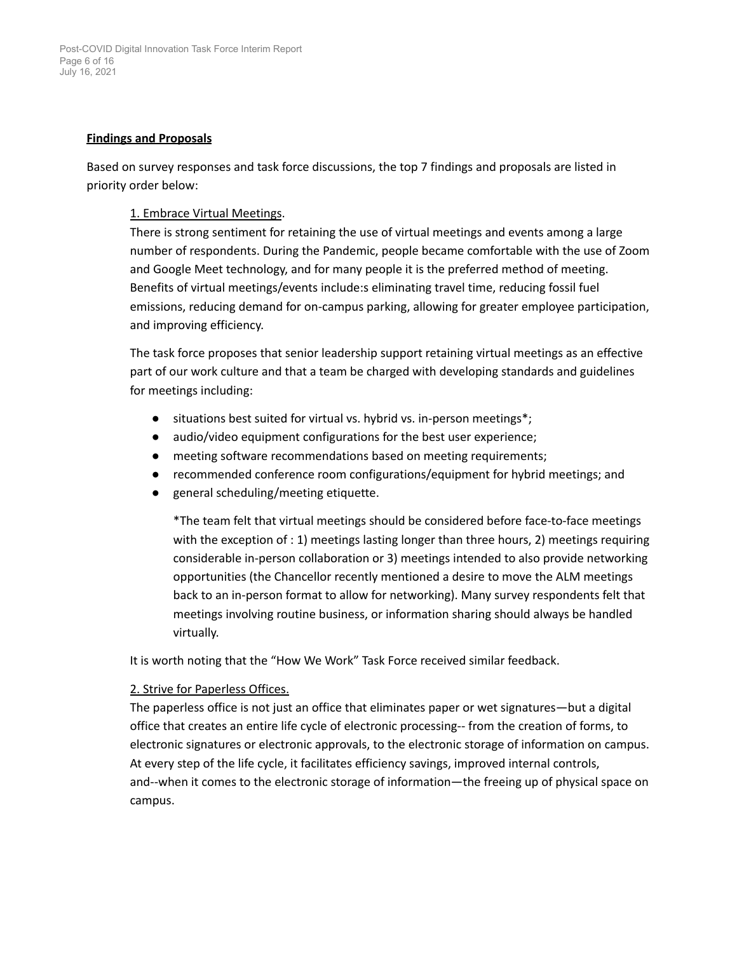## **Findings and Proposals**

Based on survey responses and task force discussions, the top 7 findings and proposals are listed in priority order below:

## 1. Embrace Virtual Meetings.

There is strong sentiment for retaining the use of virtual meetings and events among a large number of respondents. During the Pandemic, people became comfortable with the use of Zoom and Google Meet technology, and for many people it is the preferred method of meeting. Benefits of virtual meetings/events include:s eliminating travel time, reducing fossil fuel emissions, reducing demand for on-campus parking, allowing for greater employee participation, and improving efficiency.

The task force proposes that senior leadership support retaining virtual meetings as an effective part of our work culture and that a team be charged with developing standards and guidelines for meetings including:

- situations best suited for virtual vs. hybrid vs. in-person meetings<sup>\*</sup>;
- audio/video equipment configurations for the best user experience;
- meeting software recommendations based on meeting requirements;
- recommended conference room configurations/equipment for hybrid meetings; and
- general scheduling/meeting etiquette.

\*The team felt that virtual meetings should be considered before face-to-face meetings with the exception of : 1) meetings lasting longer than three hours, 2) meetings requiring considerable in-person collaboration or 3) meetings intended to also provide networking opportunities (the Chancellor recently mentioned a desire to move the ALM meetings back to an in-person format to allow for networking). Many survey respondents felt that meetings involving routine business, or information sharing should always be handled virtually.

It is worth noting that the "How We Work" Task Force received similar feedback.

## 2. Strive for Paperless Offices.

The paperless office is not just an office that eliminates paper or wet signatures—but a digital office that creates an entire life cycle of electronic processing-- from the creation of forms, to electronic signatures or electronic approvals, to the electronic storage of information on campus. At every step of the life cycle, it facilitates efficiency savings, improved internal controls, and--when it comes to the electronic storage of information—the freeing up of physical space on campus.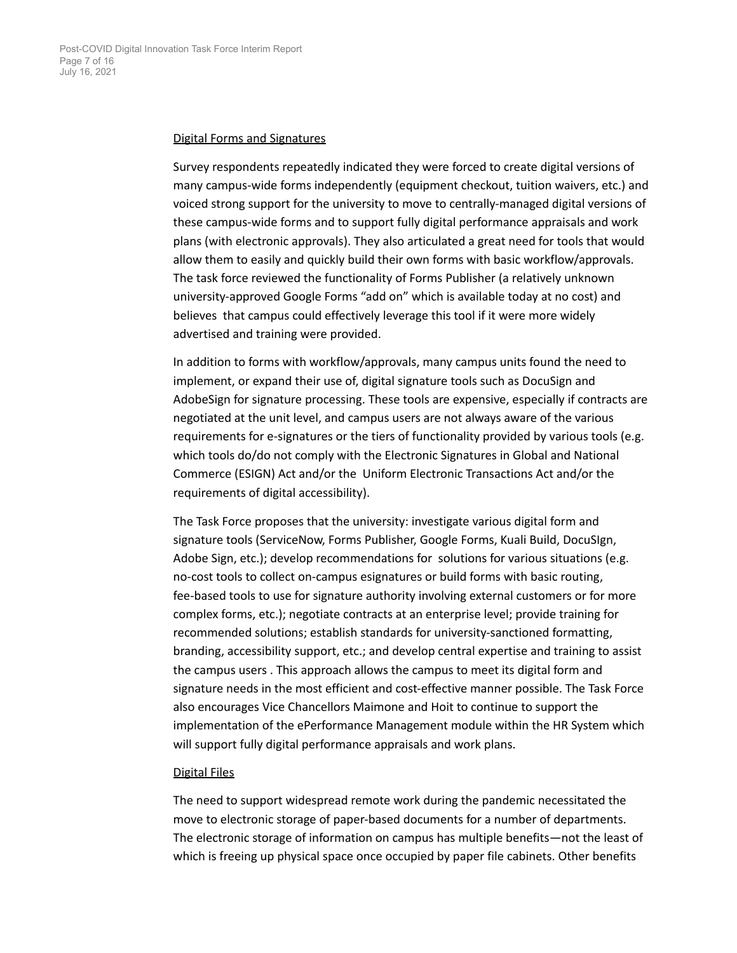#### Digital Forms and Signatures

Survey respondents repeatedly indicated they were forced to create digital versions of many campus-wide forms independently (equipment checkout, tuition waivers, etc.) and voiced strong support for the university to move to centrally-managed digital versions of these campus-wide forms and to support fully digital performance appraisals and work plans (with electronic approvals). They also articulated a great need for tools that would allow them to easily and quickly build their own forms with basic workflow/approvals. The task force reviewed the functionality of Forms Publisher (a relatively unknown university-approved Google Forms "add on" which is available today at no cost) and believes that campus could effectively leverage this tool if it were more widely advertised and training were provided.

In addition to forms with workflow/approvals, many campus units found the need to implement, or expand their use of, digital signature tools such as DocuSign and AdobeSign for signature processing. These tools are expensive, especially if contracts are negotiated at the unit level, and campus users are not always aware of the various requirements for e-signatures or the tiers of functionality provided by various tools (e.g. which tools do/do not comply with the Electronic Signatures in Global and National Commerce (ESIGN) Act and/or the Uniform Electronic Transactions Act and/or the requirements of digital accessibility).

The Task Force proposes that the university: investigate various digital form and signature tools (ServiceNow, Forms Publisher, Google Forms, Kuali Build, DocuSIgn, Adobe Sign, etc.); develop recommendations for solutions for various situations (e.g. no-cost tools to collect on-campus esignatures or build forms with basic routing, fee-based tools to use for signature authority involving external customers or for more complex forms, etc.); negotiate contracts at an enterprise level; provide training for recommended solutions; establish standards for university-sanctioned formatting, branding, accessibility support, etc.; and develop central expertise and training to assist the campus users . This approach allows the campus to meet its digital form and signature needs in the most efficient and cost-effective manner possible. The Task Force also encourages Vice Chancellors Maimone and Hoit to continue to support the implementation of the ePerformance Management module within the HR System which will support fully digital performance appraisals and work plans.

#### Digital Files

The need to support widespread remote work during the pandemic necessitated the move to electronic storage of paper-based documents for a number of departments. The electronic storage of information on campus has multiple benefits—not the least of which is freeing up physical space once occupied by paper file cabinets. Other benefits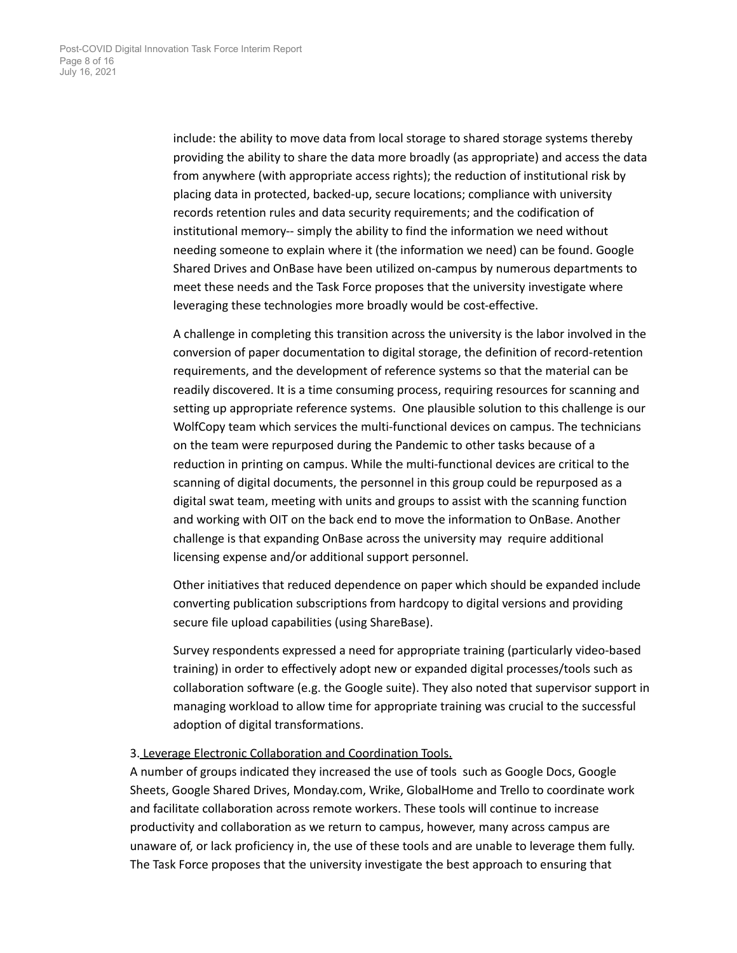include: the ability to move data from local storage to shared storage systems thereby providing the ability to share the data more broadly (as appropriate) and access the data from anywhere (with appropriate access rights); the reduction of institutional risk by placing data in protected, backed-up, secure locations; compliance with university records retention rules and data security requirements; and the codification of institutional memory-- simply the ability to find the information we need without needing someone to explain where it (the information we need) can be found. Google Shared Drives and OnBase have been utilized on-campus by numerous departments to meet these needs and the Task Force proposes that the university investigate where leveraging these technologies more broadly would be cost-effective.

A challenge in completing this transition across the university is the labor involved in the conversion of paper documentation to digital storage, the definition of record-retention requirements, and the development of reference systems so that the material can be readily discovered. It is a time consuming process, requiring resources for scanning and setting up appropriate reference systems. One plausible solution to this challenge is our WolfCopy team which services the multi-functional devices on campus. The technicians on the team were repurposed during the Pandemic to other tasks because of a reduction in printing on campus. While the multi-functional devices are critical to the scanning of digital documents, the personnel in this group could be repurposed as a digital swat team, meeting with units and groups to assist with the scanning function and working with OIT on the back end to move the information to OnBase. Another challenge is that expanding OnBase across the university may require additional licensing expense and/or additional support personnel.

Other initiatives that reduced dependence on paper which should be expanded include converting publication subscriptions from hardcopy to digital versions and providing secure file upload capabilities (using ShareBase).

Survey respondents expressed a need for appropriate training (particularly video-based training) in order to effectively adopt new or expanded digital processes/tools such as collaboration software (e.g. the Google suite). They also noted that supervisor support in managing workload to allow time for appropriate training was crucial to the successful adoption of digital transformations.

## 3. Leverage Electronic Collaboration and Coordination Tools.

A number of groups indicated they increased the use of tools such as Google Docs, Google Sheets, Google Shared Drives, Monday.com, Wrike, GlobalHome and Trello to coordinate work and facilitate collaboration across remote workers. These tools will continue to increase productivity and collaboration as we return to campus, however, many across campus are unaware of, or lack proficiency in, the use of these tools and are unable to leverage them fully. The Task Force proposes that the university investigate the best approach to ensuring that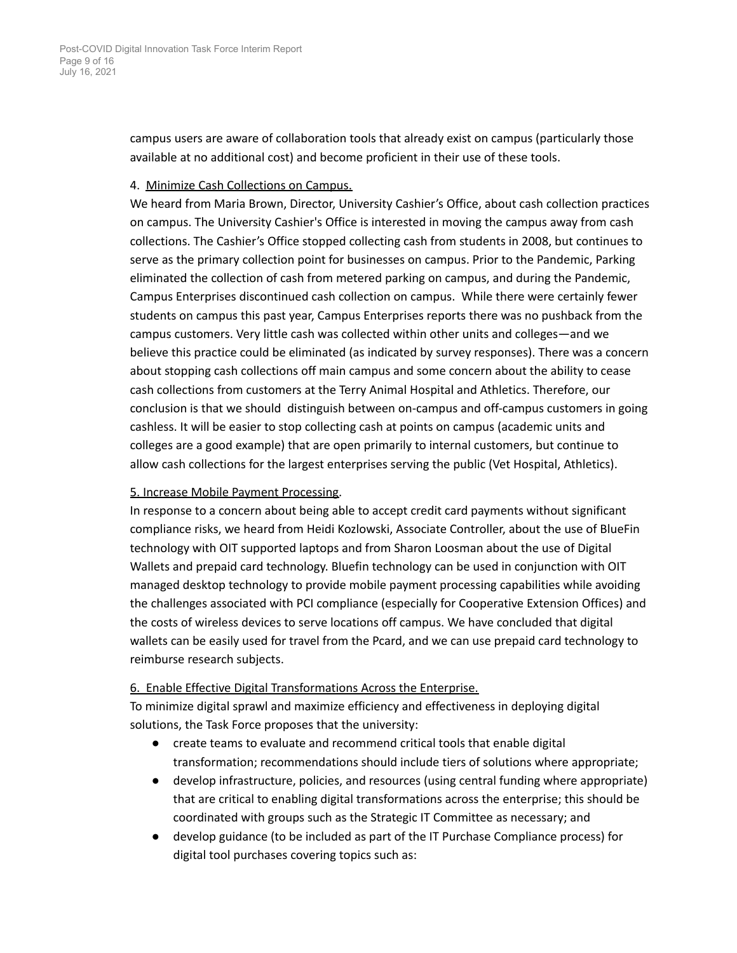campus users are aware of collaboration tools that already exist on campus (particularly those available at no additional cost) and become proficient in their use of these tools.

## 4. Minimize Cash Collections on Campus.

We heard from Maria Brown, Director, University Cashier's Office, about cash collection practices on campus. The University Cashier's Office is interested in moving the campus away from cash collections. The Cashier's Office stopped collecting cash from students in 2008, but continues to serve as the primary collection point for businesses on campus. Prior to the Pandemic, Parking eliminated the collection of cash from metered parking on campus, and during the Pandemic, Campus Enterprises discontinued cash collection on campus. While there were certainly fewer students on campus this past year, Campus Enterprises reports there was no pushback from the campus customers. Very little cash was collected within other units and colleges—and we believe this practice could be eliminated (as indicated by survey responses). There was a concern about stopping cash collections off main campus and some concern about the ability to cease cash collections from customers at the Terry Animal Hospital and Athletics. Therefore, our conclusion is that we should distinguish between on-campus and off-campus customers in going cashless. It will be easier to stop collecting cash at points on campus (academic units and colleges are a good example) that are open primarily to internal customers, but continue to allow cash collections for the largest enterprises serving the public (Vet Hospital, Athletics).

## 5. Increase Mobile Payment Processing.

In response to a concern about being able to accept credit card payments without significant compliance risks, we heard from Heidi Kozlowski, Associate Controller, about the use of BlueFin technology with OIT supported laptops and from Sharon Loosman about the use of Digital Wallets and prepaid card technology. Bluefin technology can be used in conjunction with OIT managed desktop technology to provide mobile payment processing capabilities while avoiding the challenges associated with PCI compliance (especially for Cooperative Extension Offices) and the costs of wireless devices to serve locations off campus. We have concluded that digital wallets can be easily used for travel from the Pcard, and we can use prepaid card technology to reimburse research subjects.

## 6. Enable Effective Digital Transformations Across the Enterprise.

To minimize digital sprawl and maximize efficiency and effectiveness in deploying digital solutions, the Task Force proposes that the university:

- create teams to evaluate and recommend critical tools that enable digital transformation; recommendations should include tiers of solutions where appropriate;
- develop infrastructure, policies, and resources (using central funding where appropriate) that are critical to enabling digital transformations across the enterprise; this should be coordinated with groups such as the Strategic IT Committee as necessary; and
- develop guidance (to be included as part of the IT Purchase Compliance process) for digital tool purchases covering topics such as: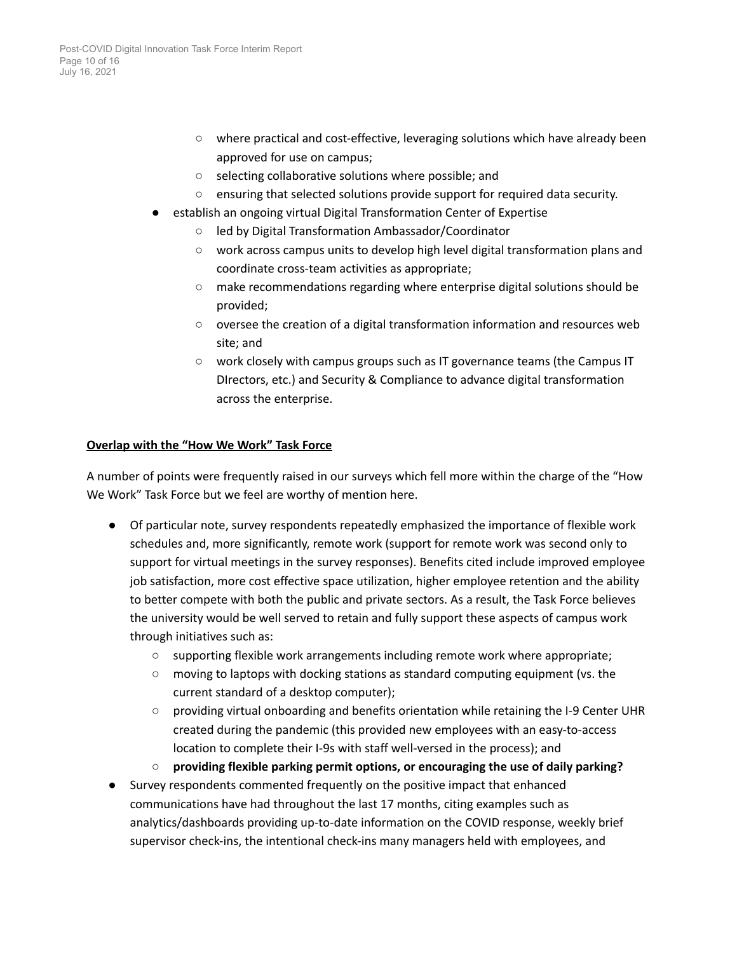- where practical and cost-effective, leveraging solutions which have already been approved for use on campus;
- selecting collaborative solutions where possible; and
- ensuring that selected solutions provide support for required data security.
- establish an ongoing virtual Digital Transformation Center of Expertise
	- led by Digital Transformation Ambassador/Coordinator
	- work across campus units to develop high level digital transformation plans and coordinate cross-team activities as appropriate;
	- make recommendations regarding where enterprise digital solutions should be provided;
	- oversee the creation of a digital transformation information and resources web site; and
	- work closely with campus groups such as IT governance teams (the Campus IT DIrectors, etc.) and Security & Compliance to advance digital transformation across the enterprise.

## **Overlap with the "How We Work" Task Force**

A number of points were frequently raised in our surveys which fell more within the charge of the "How We Work" Task Force but we feel are worthy of mention here.

- Of particular note, survey respondents repeatedly emphasized the importance of flexible work schedules and, more significantly, remote work (support for remote work was second only to support for virtual meetings in the survey responses). Benefits cited include improved employee job satisfaction, more cost effective space utilization, higher employee retention and the ability to better compete with both the public and private sectors. As a result, the Task Force believes the university would be well served to retain and fully support these aspects of campus work through initiatives such as:
	- supporting flexible work arrangements including remote work where appropriate;
	- moving to laptops with docking stations as standard computing equipment (vs. the current standard of a desktop computer);
	- providing virtual onboarding and benefits orientation while retaining the I-9 Center UHR created during the pandemic (this provided new employees with an easy-to-access location to complete their I-9s with staff well-versed in the process); and
	- **○ providing flexible parking permit options, or encouraging the use of daily parking?**
- Survey respondents commented frequently on the positive impact that enhanced communications have had throughout the last 17 months, citing examples such as analytics/dashboards providing up-to-date information on the COVID response, weekly brief supervisor check-ins, the intentional check-ins many managers held with employees, and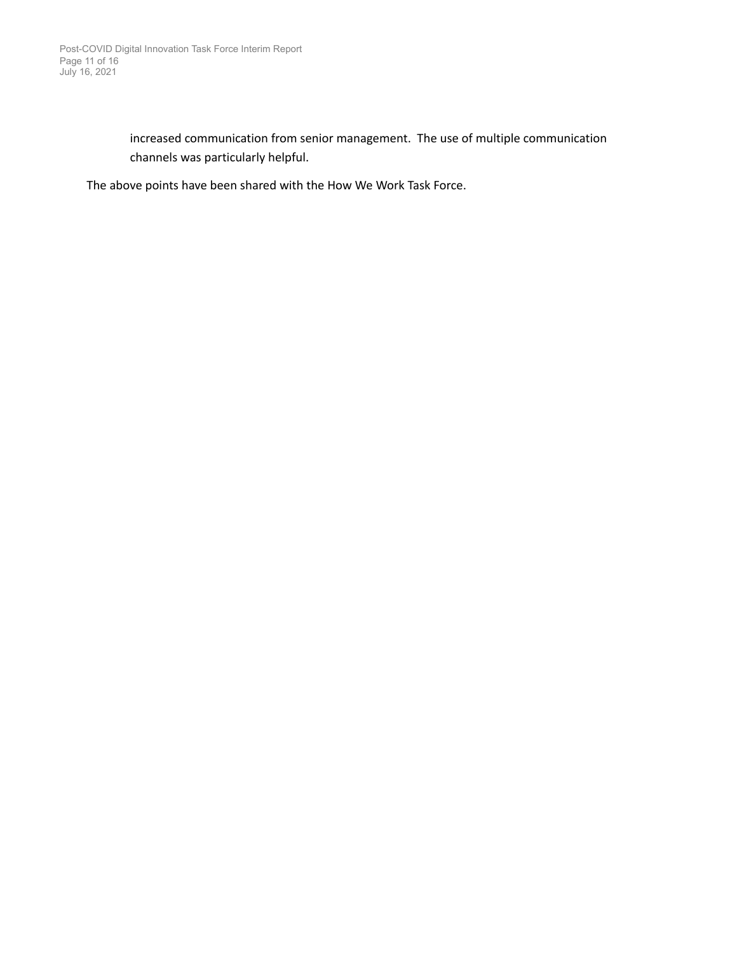increased communication from senior management. The use of multiple communication channels was particularly helpful.

The above points have been shared with the How We Work Task Force.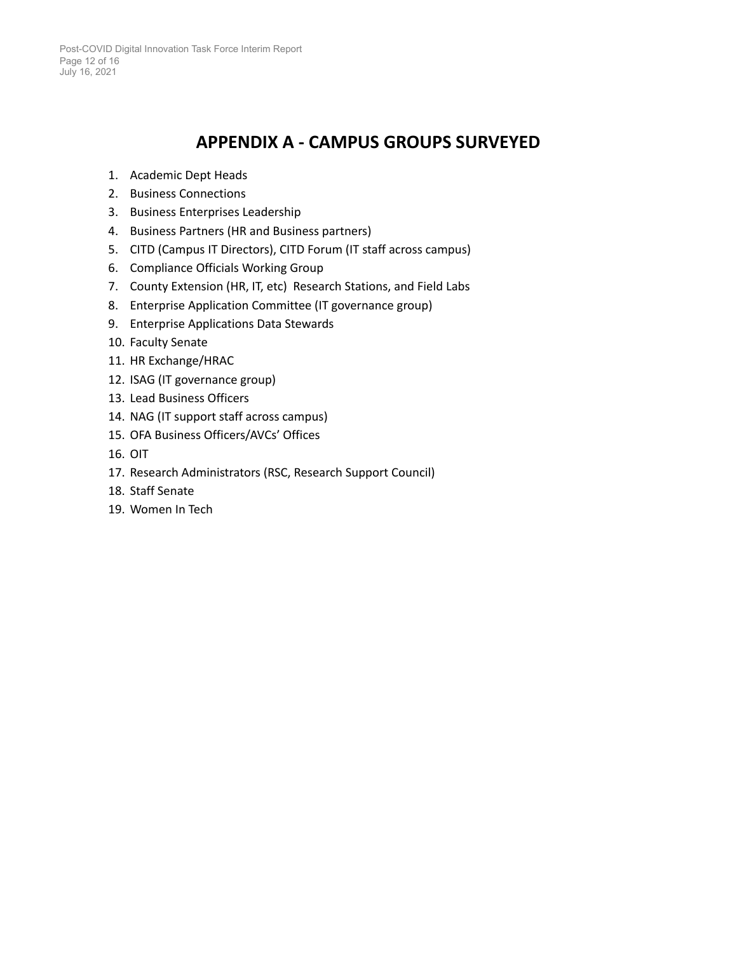## **APPENDIX A - CAMPUS GROUPS SURVEYED**

- <span id="page-11-0"></span>1. Academic Dept Heads
- 2. Business Connections
- 3. Business Enterprises Leadership
- 4. Business Partners (HR and Business partners)
- 5. CITD (Campus IT Directors), CITD Forum (IT staff across campus)
- 6. Compliance Officials Working Group
- 7. County Extension (HR, IT, etc) Research Stations, and Field Labs
- 8. Enterprise Application Committee (IT governance group)
- 9. Enterprise Applications Data Stewards
- 10. Faculty Senate
- 11. HR Exchange/HRAC
- 12. ISAG (IT governance group)
- 13. Lead Business Officers
- 14. NAG (IT support staff across campus)
- 15. OFA Business Officers/AVCs' Offices
- 16. OIT
- 17. Research Administrators (RSC, Research Support Council)
- 18. Staff Senate
- 19. Women In Tech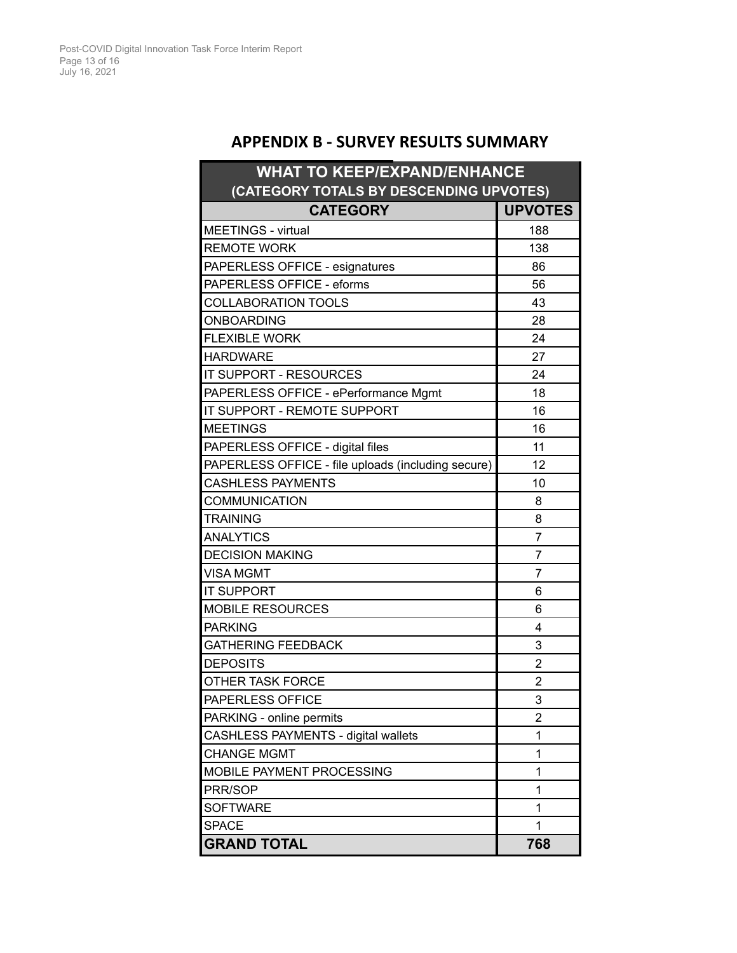## **APPENDIX B - SURVEY RESULTS SUMMARY**

<span id="page-12-0"></span>

| <b>WHAT TO KEEP/EXPAND/ENHANCE</b>                 |                         |  |  |
|----------------------------------------------------|-------------------------|--|--|
| (CATEGORY TOTALS BY DESCENDING UPVOTES)            |                         |  |  |
| <b>CATEGORY</b>                                    | <b>UPVOTES</b>          |  |  |
| MEETINGS - virtual                                 | 188                     |  |  |
| <b>REMOTE WORK</b>                                 | 138                     |  |  |
| PAPERLESS OFFICE - esignatures                     | 86                      |  |  |
| PAPERLESS OFFICE - eforms                          | 56                      |  |  |
| COLLABORATION TOOLS                                | 43                      |  |  |
| ONBOARDING                                         | 28                      |  |  |
| <b>FLEXIBLE WORK</b>                               | 24                      |  |  |
| <b>HARDWARE</b>                                    | 27                      |  |  |
| IT SUPPORT - RESOURCES                             | 24                      |  |  |
| PAPERLESS OFFICE - ePerformance Mgmt               | 18                      |  |  |
| IT SUPPORT - REMOTE SUPPORT                        | 16                      |  |  |
| <b>MEETINGS</b>                                    | 16                      |  |  |
| PAPERLESS OFFICE - digital files                   | 11                      |  |  |
| PAPERLESS OFFICE - file uploads (including secure) | 12                      |  |  |
| <b>CASHLESS PAYMENTS</b>                           | 10                      |  |  |
| <b>COMMUNICATION</b>                               | 8                       |  |  |
| <b>TRAINING</b>                                    | 8                       |  |  |
| <b>ANALYTICS</b>                                   | 7                       |  |  |
| <b>DECISION MAKING</b>                             | 7                       |  |  |
| <b>VISA MGMT</b>                                   | 7                       |  |  |
| <b>IT SUPPORT</b>                                  | 6                       |  |  |
| <b>MOBILE RESOURCES</b>                            | 6                       |  |  |
| <b>PARKING</b>                                     | 4                       |  |  |
| <b>GATHERING FEEDBACK</b>                          | 3                       |  |  |
| <b>DEPOSITS</b>                                    | $\overline{2}$          |  |  |
| OTHER TASK FORCE                                   | $\overline{\mathbf{c}}$ |  |  |
| PAPERLESS OFFICE                                   | 3                       |  |  |
| PARKING - online permits                           | 2                       |  |  |
| CASHLESS PAYMENTS - digital wallets                | 1                       |  |  |
| <b>CHANGE MGMT</b>                                 | 1                       |  |  |
| MOBILE PAYMENT PROCESSING                          | 1                       |  |  |
| PRR/SOP                                            | 1                       |  |  |
| <b>SOFTWARE</b>                                    | 1                       |  |  |
| <b>SPACE</b>                                       | 1                       |  |  |
| <b>GRAND TOTAL</b>                                 | 768                     |  |  |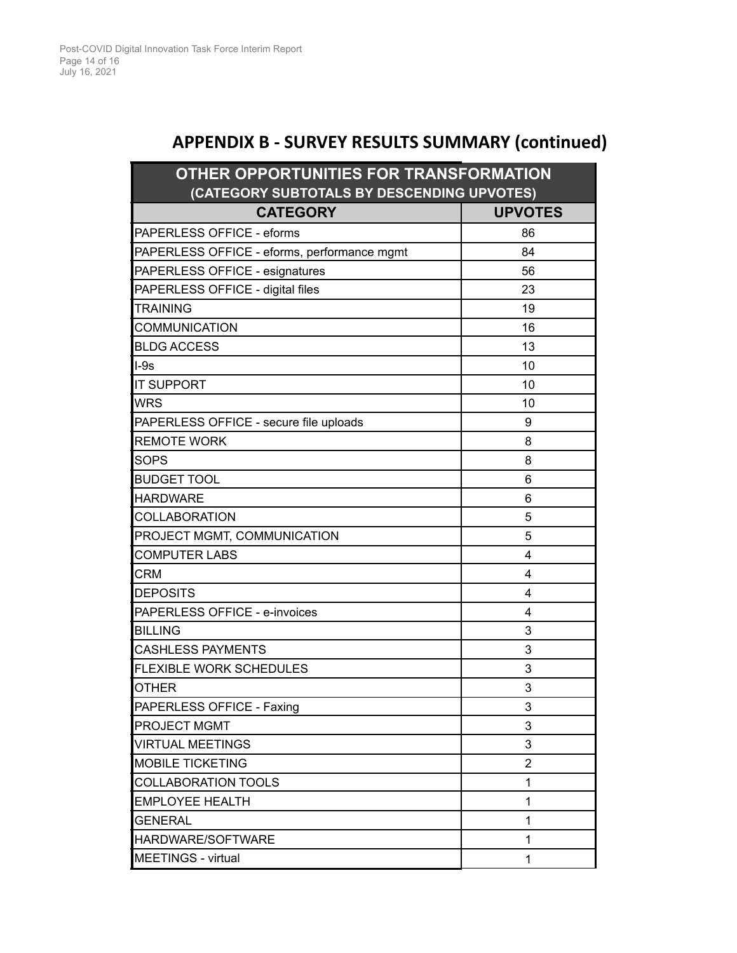# **APPENDIX B - SURVEY RESULTS SUMMARY (continued)**

| OTHER OPPORTUNITIES FOR TRANSFORMATION      |                |  |  |  |
|---------------------------------------------|----------------|--|--|--|
| (CATEGORY SUBTOTALS BY DESCENDING UPVOTES)  |                |  |  |  |
| <b>CATEGORY</b>                             | <b>UPVOTES</b> |  |  |  |
| PAPERLESS OFFICE - eforms                   | 86             |  |  |  |
| PAPERLESS OFFICE - eforms, performance mgmt | 84             |  |  |  |
| PAPERLESS OFFICE - esignatures              | 56             |  |  |  |
| PAPERLESS OFFICE - digital files            | 23             |  |  |  |
| <b>TRAINING</b>                             | 19             |  |  |  |
| <b>COMMUNICATION</b>                        | 16             |  |  |  |
| <b>BLDG ACCESS</b>                          | 13             |  |  |  |
| $I-9s$                                      | 10             |  |  |  |
| <b>IT SUPPORT</b>                           | 10             |  |  |  |
| <b>WRS</b>                                  | 10             |  |  |  |
| PAPERLESS OFFICE - secure file uploads      | 9              |  |  |  |
| <b>REMOTE WORK</b>                          | 8              |  |  |  |
| <b>SOPS</b>                                 | 8              |  |  |  |
| <b>BUDGET TOOL</b>                          | 6              |  |  |  |
| <b>HARDWARE</b>                             | 6              |  |  |  |
| <b>COLLABORATION</b>                        | 5              |  |  |  |
| PROJECT MGMT, COMMUNICATION                 | 5              |  |  |  |
| <b>COMPUTER LABS</b>                        | 4              |  |  |  |
| CRM                                         | 4              |  |  |  |
| <b>DEPOSITS</b>                             | 4              |  |  |  |
| PAPERLESS OFFICE - e-invoices               | 4              |  |  |  |
| <b>BILLING</b>                              | 3              |  |  |  |
| <b>CASHLESS PAYMENTS</b>                    | 3              |  |  |  |
| FLEXIBLE WORK SCHEDULES                     | 3              |  |  |  |
| <b>OTHER</b>                                | 3              |  |  |  |
| PAPERLESS OFFICE - Faxing                   | 3              |  |  |  |
| PROJECT MGMT                                | 3              |  |  |  |
| <b>VIRTUAL MEETINGS</b>                     | 3              |  |  |  |
| <b>MOBILE TICKETING</b>                     | $\overline{2}$ |  |  |  |
| COLLABORATION TOOLS                         | 1              |  |  |  |
| <b>EMPLOYEE HEALTH</b>                      | 1              |  |  |  |
| <b>GENERAL</b>                              | 1              |  |  |  |
| HARDWARE/SOFTWARE                           | 1              |  |  |  |
| <b>MEETINGS - virtual</b>                   | 1              |  |  |  |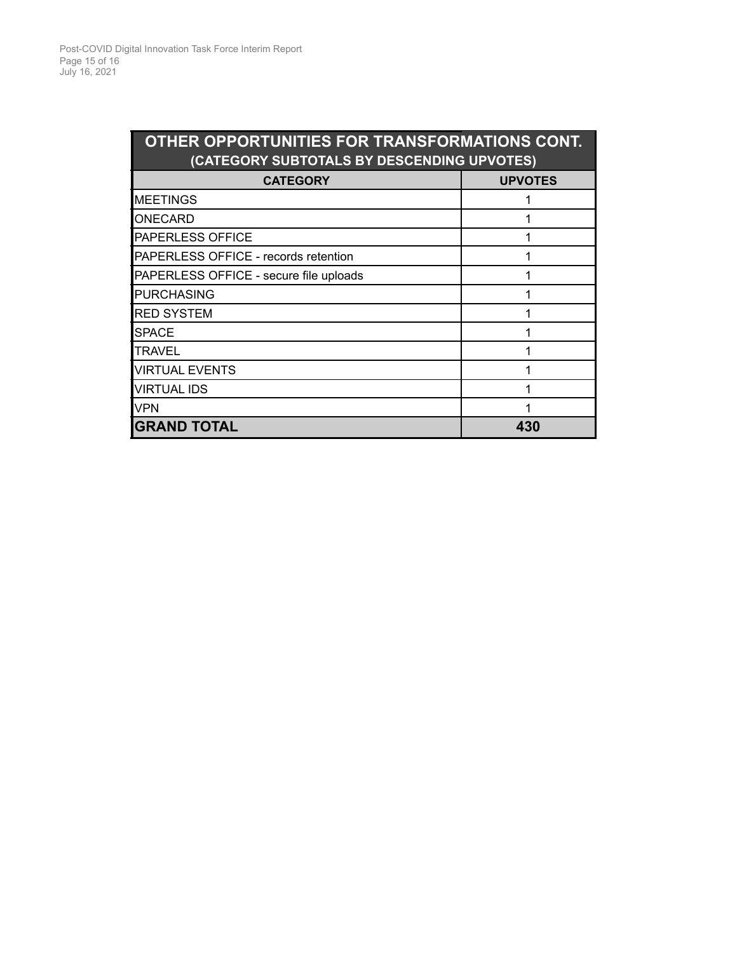| OTHER OPPORTUNITIES FOR TRANSFORMATIONS CONT.<br>(CATEGORY SUBTOTALS BY DESCENDING UPVOTES) |                |  |  |
|---------------------------------------------------------------------------------------------|----------------|--|--|
| <b>CATEGORY</b>                                                                             | <b>UPVOTES</b> |  |  |
| <b>MEETINGS</b>                                                                             |                |  |  |
| ONECARD                                                                                     |                |  |  |
| PAPERLESS OFFICE                                                                            |                |  |  |
| PAPERLESS OFFICE - records retention                                                        |                |  |  |
| PAPERLESS OFFICE - secure file uploads                                                      |                |  |  |
| <b>PURCHASING</b>                                                                           |                |  |  |
| <b>RED SYSTEM</b>                                                                           |                |  |  |
| <b>SPACE</b>                                                                                |                |  |  |
| <b>TRAVEL</b>                                                                               |                |  |  |
| <b>VIRTUAL EVENTS</b>                                                                       |                |  |  |
| <b>VIRTUAL IDS</b>                                                                          |                |  |  |
| <b>VPN</b>                                                                                  |                |  |  |
| <b>GRAND TOTAL</b>                                                                          | 430            |  |  |